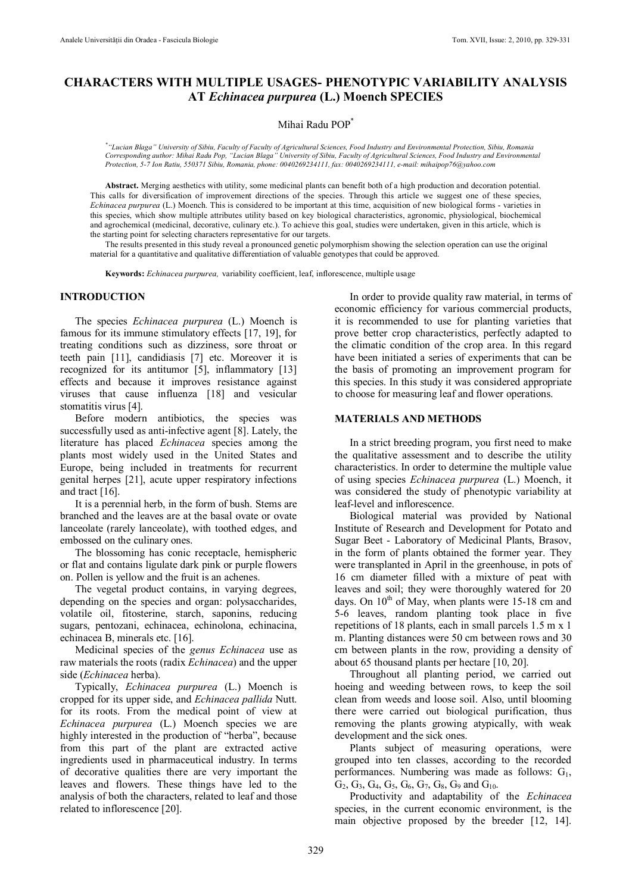# **CHARACTERS WITH MULTIPLE USAGES- PHENOTYPIC VARIABILITY ANALYSIS AT** *Echinacea purpurea* **(L.) Moench SPECIES**

### Mihai Radu POP\*

*\* "Lucian Blaga" University of Sibiu, Faculty of Faculty of Agricultural Sciences, Food Industry and Environmental Protection, Sibiu, Romania Corresponding author: Mihai Radu Pop, "Lucian Blaga" University of Sibiu, Faculty of Agricultural Sciences, Food Industry and Environmental Protection, 5-7 Ion Ratiu, 550371 Sibiu, Romania, phone: 0040269234111, fax: 0040269234111, e-mail: [mihaipop76@yahoo.com](mailto:mihaipop76@yahoo.com)*

**Abstract.** Merging aesthetics with utility, some medicinal plants can benefit both of a high production and decoration potential. This calls for diversification of improvement directions of the species. Through this article we suggest one of these species, *Echinacea purpurea* (L.) Moench. This is considered to be important at this time, acquisition of new biological forms - varieties in this species, which show multiple attributes utility based on key biological characteristics, agronomic, physiological, biochemical and agrochemical (medicinal, decorative, culinary etc.). To achieve this goal, studies were undertaken, given in this article, which is the starting point for selecting characters representative for our targets.

The results presented in this study reveal a pronounced genetic polymorphism showing the selection operation can use the original material for a quantitative and qualitative differentiation of valuable genotypes that could be approved.

**Keywords:** *Echinacea purpurea,* variability coefficient, leaf, inflorescence, multiple usage

### **INTRODUCTION**

The species *Echinacea purpurea* (L.) Moench is famous for its immune stimulatory effects [17, 19], for treating conditions such as dizziness, sore throat or teeth pain [11], candidiasis [7] etc. Moreover it is recognized for its antitumor [5], inflammatory [13] effects and because it improves resistance against viruses that cause influenza [18] and vesicular stomatitis virus [4].

Before modern antibiotics, the species was successfully used as anti-infective agent [8]. Lately, the literature has placed *Echinacea* species among the plants most widely used in the United States and Europe, being included in treatments for recurrent genital herpes [21], acute upper respiratory infections and tract [16].

It is a perennial herb, in the form of bush. Stems are branched and the leaves are at the basal ovate or ovate lanceolate (rarely lanceolate), with toothed edges, and embossed on the culinary ones.

The blossoming has conic receptacle, hemispheric or flat and contains ligulate dark pink or purple flowers on. Pollen is yellow and the fruit is an achenes.

The vegetal product contains, in varying degrees, depending on the species and organ: polysaccharides, volatile oil, fitosterine, starch, saponins, reducing sugars, pentozani, echinacea, echinolona, echinacina, echinacea B, minerals etc. [16].

Medicinal species of the *genus Echinacea* use as raw materials the roots (radix *Echinacea*) and the upper side (*Echinacea* herba).

Typically, *Echinacea purpurea* (L.) Moench is cropped for its upper side, and *Echinacea pallida* Nutt. for its roots. From the medical point of view at *Echinacea purpurea* (L.) Moench species we are highly interested in the production of "herba", because from this part of the plant are extracted active ingredients used in pharmaceutical industry. In terms of decorative qualities there are very important the leaves and flowers. These things have led to the analysis of both the characters, related to leaf and those related to inflorescence [20].

In order to provide quality raw material, in terms of economic efficiency for various commercial products, it is recommended to use for planting varieties that prove better crop characteristics, perfectly adapted to the climatic condition of the crop area. In this regard have been initiated a series of experiments that can be the basis of promoting an improvement program for this species. In this study it was considered appropriate to choose for measuring leaf and flower operations.

### **MATERIALS AND METHODS**

In a strict breeding program, you first need to make the qualitative assessment and to describe the utility characteristics. In order to determine the multiple value of using species *Echinacea purpurea* (L.) Moench, it was considered the study of phenotypic variability at leaf-level and inflorescence.

Biological material was provided by National Institute of Research and Development for Potato and Sugar Beet - Laboratory of Medicinal Plants, Brasov, in the form of plants obtained the former year. They were transplanted in April in the greenhouse, in pots of 16 cm diameter filled with a mixture of peat with leaves and soil; they were thoroughly watered for 20 days. On  $10<sup>th</sup>$  of May, when plants were 15-18 cm and 5-6 leaves, random planting took place in five repetitions of 18 plants, each in small parcels 1.5 m x 1 m. Planting distances were 50 cm between rows and 30 cm between plants in the row, providing a density of about 65 thousand plants per hectare [10, 20].

Throughout all planting period, we carried out hoeing and weeding between rows, to keep the soil clean from weeds and loose soil. Also, until blooming there were carried out biological purification, thus removing the plants growing atypically, with weak development and the sick ones.

Plants subject of measuring operations, were grouped into ten classes, according to the recorded performances. Numbering was made as follows:  $G_1$ ,  $G_2$ ,  $G_3$ ,  $G_4$ ,  $G_5$ ,  $G_6$ ,  $G_7$ ,  $G_8$ ,  $G_9$  and  $G_{10}$ .

Productivity and adaptability of the *Echinacea* species, in the current economic environment, is the main objective proposed by the breeder [12, 14].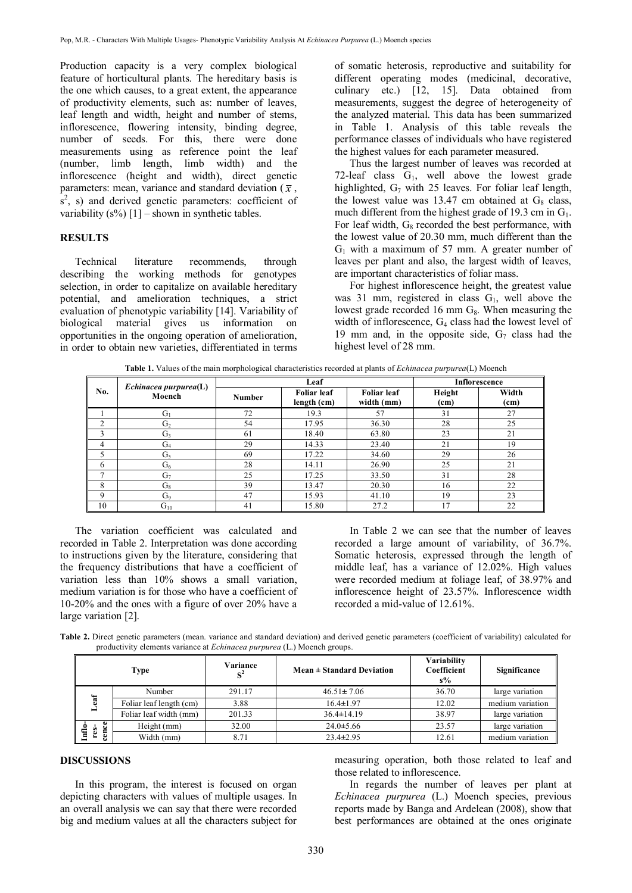Production capacity is a very complex biological feature of horticultural plants. The hereditary basis is the one which causes, to a great extent, the appearance of productivity elements, such as: number of leaves, leaf length and width, height and number of stems, inflorescence, flowering intensity, binding degree, number of seeds. For this, there were done measurements using as reference point the leaf (number, limb length, limb width) and the inflorescence (height and width), direct genetic parameters: mean, variance and standard deviation ( $\bar{x}$ ,  $s<sup>2</sup>$ , s) and derived genetic parameters: coefficient of variability  $(s\%)$  [1] – shown in synthetic tables.

## **RESULTS**

Technical literature recommends, through describing the working methods for genotypes selection, in order to capitalize on available hereditary potential, and amelioration techniques, a strict evaluation of phenotypic variability [14]. Variability of biological material gives us information on opportunities in the ongoing operation of amelioration, in order to obtain new varieties, differentiated in terms

of somatic heterosis, reproductive and suitability for different operating modes (medicinal, decorative, culinary etc.) [12, 15]. Data obtained from measurements, suggest the degree of heterogeneity of the analyzed material. This data has been summarized in Table 1. Analysis of this table reveals the performance classes of individuals who have registered the highest values for each parameter measured.

Thus the largest number of leaves was recorded at 72-leaf class  $G_1$ , well above the lowest grade highlighted,  $G_7$  with 25 leaves. For foliar leaf length, the lowest value was  $13.47$  cm obtained at  $G_8$  class, much different from the highest grade of 19.3 cm in  $G_1$ . For leaf width,  $G_8$  recorded the best performance, with the lowest value of 20.30 mm, much different than the  $G_1$  with a maximum of 57 mm. A greater number of leaves per plant and also, the largest width of leaves, are important characteristics of foliar mass.

For highest inflorescence height, the greatest value was 31 mm, registered in class  $G_1$ , well above the lowest grade recorded 16 mm  $G_8$ . When measuring the width of inflorescence, G4 class had the lowest level of 19 mm and, in the opposite side,  $G_7$  class had the highest level of 28 mm.

| <b>Table 1.</b> Values of the main morphological characteristics recorded at plants of <i>Echinacea purpurea</i> (L) Moench |                                       |               |                                   |                                  |                             |                            |  |  |  |
|-----------------------------------------------------------------------------------------------------------------------------|---------------------------------------|---------------|-----------------------------------|----------------------------------|-----------------------------|----------------------------|--|--|--|
| No.                                                                                                                         | $E$ chinacea purpurea $(L)$<br>Moench | Leaf          |                                   |                                  | Inflorescence               |                            |  |  |  |
|                                                                                                                             |                                       | <b>Number</b> | <b>Foliar leaf</b><br>length (cm) | <b>Foliar</b> leaf<br>width (mm) | Height<br>(c <sub>m</sub> ) | Width<br>(c <sub>m</sub> ) |  |  |  |
|                                                                                                                             | $G_1$                                 | 72            | 19.3                              |                                  | 31                          |                            |  |  |  |
|                                                                                                                             | G2                                    | 54            | 17.95                             | 36.30                            | 28                          | 25                         |  |  |  |
|                                                                                                                             | G3                                    | 61            | 18.40                             | 63.80                            | 23                          |                            |  |  |  |
|                                                                                                                             | G4                                    | 29            | 14.33                             | 23.40                            | 21                          | 19                         |  |  |  |
|                                                                                                                             | G5                                    | 69            | 17.22                             | 34.60                            | 29                          | 26                         |  |  |  |
|                                                                                                                             | G6                                    | 28            | 14.11                             | 26.90                            | 25                          |                            |  |  |  |
|                                                                                                                             | G7                                    | 25            | 17.25                             | 33.50                            | 31                          | 28                         |  |  |  |

8 |  $G_8$  | 39 | 13.47 | 20.30 | 16 | 22 9 G<sup>9</sup> 47 15.93 41.10 19 23  $10$  G<sub>10</sub>  $\qquad$  41 15.80 27.2 17 22

**Table 1.** Values of the main morphological characteristics recorded at plants of *Echinacea purpurea*(L) Moench

The variation coefficient was calculated and recorded in Table 2. Interpretation was done according to instructions given by the literature, considering that the frequency distributions that have a coefficient of variation less than 10% shows a small variation, medium variation is for those who have a coefficient of 10-20% and the ones with a figure of over 20% have a large variation [2].

In Table 2 we can see that the number of leaves recorded a large amount of variability, of 36.7%. Somatic heterosis, expressed through the length of middle leaf, has a variance of 12.02%. High values were recorded medium at foliage leaf, of 38.97% and inflorescence height of 23.57%. Inflorescence width recorded a mid-value of 12.61%.

**Table 2.** Direct genetic parameters (mean. variance and standard deviation) and derived genetic parameters (coefficient of variability) calculated for productivity elements variance at *Echinacea purpurea* (L.) Moench groups.

| Type       |                         | Variance<br>$S^2$ | $Mean \pm Standard Deviation$ | <b>Variability</b><br>Coefficient<br>$s\%$ | Significance     |
|------------|-------------------------|-------------------|-------------------------------|--------------------------------------------|------------------|
|            | Number                  | 291.17            | $46.51 \pm 7.06$              | 36.70                                      | large variation  |
| $\ddot{a}$ | Foliar leaf length (cm) | 3.88              | $16.4 \pm 1.97$               | 12.02                                      | medium variation |
|            | Foliar leaf width (mm)  | 201.33            | $36.4 \pm 14.19$              | 38.97                                      | large variation  |
| ೆ          | Height (mm)             | 32.00             | $24.0 \pm 5.66$               | 23.57                                      | large variation  |
|            | Width (mm)              | 8.71              | $23.4 \pm 2.95$               | 12.61                                      | medium variation |

### **DISCUSSIONS**

In this program, the interest is focused on organ depicting characters with values of multiple usages. In an overall analysis we can say that there were recorded big and medium values at all the characters subject for

measuring operation, both those related to leaf and those related to inflorescence.

In regards the number of leaves per plant at *Echinacea purpurea* (L.) Moench species, previous reports made by Banga and Ardelean (2008), show that best performances are obtained at the ones originate